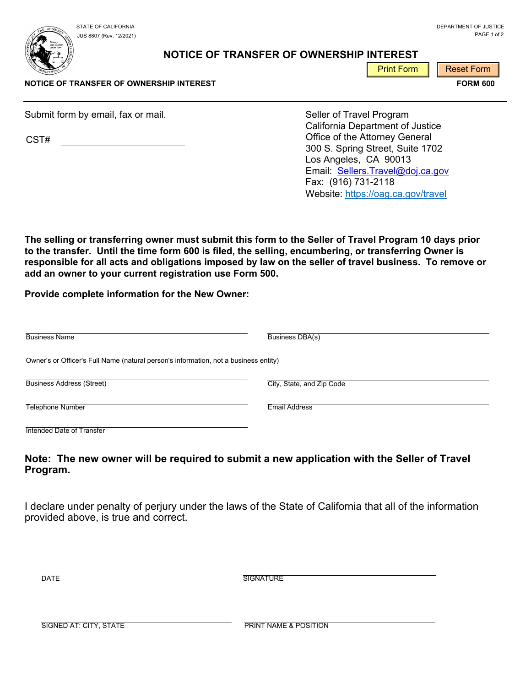JUS 8807 (Rev. 12/2021)

STATE OF CALIFORNIA DEPARTMENT OF JUSTICE CONTROL IN A SERVER AND THE STATE OF CONTROL OF JUSTICE OF SUSTICE OF SUSTICE PAGE 1 of 2

## **NOTICE OF TRANSFER OF OWNERSHIP INTEREST**

Print Form **Reset Form** 

**NOTICE OF TRANSFER OF OWNERSHIP INTEREST FORM 600** 

Submit form by email, fax or mail. Submit form by email. Seller of Travel Program

CST#

California Department of Justice Office of the Attorney General 300 S. Spring Street, Suite 1702 Los Angeles, CA 90013 Email: Sellers.Travel@doj.ca.gov Fax: (916) 731-2118 Website: https://oag.ca.gov/travel

**The selling or transferring owner must submit this form to the Seller of Travel Program 10 days prior to the transfer. Until the time form 600 is filed, the selling, encumbering, or transferring Owner is responsible for all acts and obligations imposed by law on the seller of travel business. To remove or add an owner to your current registration use Form 500.** 

**Provide complete information for the New Owner:** 

| <b>Business Name</b>                                                                 | Business DBA(s)           |
|--------------------------------------------------------------------------------------|---------------------------|
| Owner's or Officer's Full Name (natural person's information, not a business entity) |                           |
| <b>Business Address (Street)</b>                                                     | City, State, and Zip Code |
| <b>Telephone Number</b>                                                              | <b>Email Address</b>      |
| Intended Date of Transfer                                                            |                           |

## **Note: The new owner will be required to submit a new application with the Seller of Travel Program.**

I declare under penalty of perjury under the laws of the State of California that all of the information provided above, is true and correct.

**SIGNATURE** 

SIGNED AT: CITY, STATE **Example 20 YO FRINT NAME & POSITION**